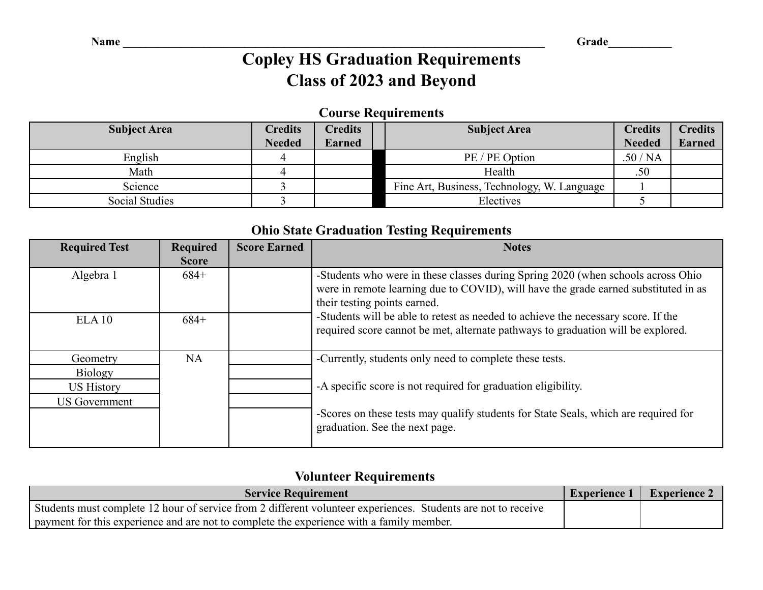# **Copley HS Graduation Requirements Class of 2023 and Beyond**

#### **Course Requirements**

| <b>Subject Area</b> | <b>Credits</b> | <b>Tredits</b> | <b>Subject Area</b>                         |               | <b>Credits</b> |
|---------------------|----------------|----------------|---------------------------------------------|---------------|----------------|
|                     | <b>Needed</b>  | <b>Earned</b>  |                                             | <b>Needed</b> | <b>Earned</b>  |
| English             |                |                | PE / PE Option                              | .50/NA        |                |
| Math                |                |                | Health                                      | .50           |                |
| Science             |                |                | Fine Art, Business, Technology, W. Language |               |                |
| Social Studies      |                |                | Electives                                   |               |                |

#### **Ohio State Graduation Testing Requirements**

| <b>Required Test</b>                      | <b>Required</b><br><b>Score</b> | <b>Score Earned</b> | <b>Notes</b>                                                                                                                                                                                            |
|-------------------------------------------|---------------------------------|---------------------|---------------------------------------------------------------------------------------------------------------------------------------------------------------------------------------------------------|
| Algebra 1                                 | $684+$                          |                     | -Students who were in these classes during Spring 2020 (when schools across Ohio<br>were in remote learning due to COVID), will have the grade earned substituted in as<br>their testing points earned. |
| ELA10                                     | $684+$                          |                     | -Students will be able to retest as needed to achieve the necessary score. If the<br>required score cannot be met, alternate pathways to graduation will be explored.                                   |
| Geometry<br><b>Biology</b>                | NA                              |                     | -Currently, students only need to complete these tests.                                                                                                                                                 |
| <b>US History</b><br><b>US Government</b> |                                 |                     | -A specific score is not required for graduation eligibility.<br>-Scores on these tests may qualify students for State Seals, which are required for<br>graduation. See the next page.                  |

#### **Volunteer Requirements**

| <b>Service Requirement</b>                                                                                    | – Experience 1 | <b>Experience 2</b> |
|---------------------------------------------------------------------------------------------------------------|----------------|---------------------|
| Students must complete 12 hour of service from 2 different volunteer experiences. Students are not to receive |                |                     |
| I payment for this experience and are not to complete the experience with a family member.                    |                |                     |